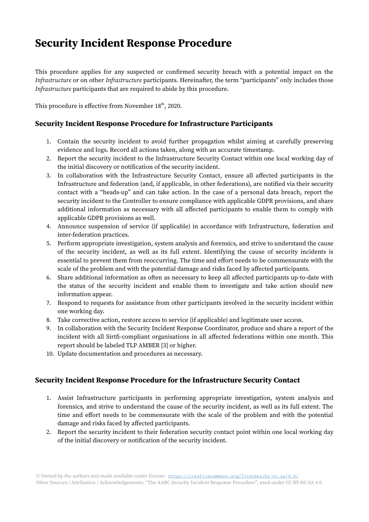## Security Incident Response Procedure

This procedure applies for any suspected or confirmed security breach with a potential impact on the Infrastructure or on other Infrastructure participants. Hereinafter, the term "participants" only includes those Infrastructure participants that are required to abide by this procedure.

This procedure is effective from November  $18<sup>th</sup>$ , 2020.

## Security Incident Response Procedure for Infrastructure Participants

- 1. Contain the security incident to avoid further propagation whilst aiming at carefully preserving evidence and logs. Record all actions taken, along with an accurate timestamp.
- 2. Report the security incident to the Infrastructure Security Contact within one local working day of the initial discovery or notification of the security incident.
- 3. In collaboration with the Infrastructure Security Contact, ensure all affected participants in the Infrastructure and federation (and, if applicable, in other federations), are notified via their security contact with a "heads-up" and can take action. In the case of a personal data breach, report the security incident to the Controller to ensure compliance with applicable GDPR provisions, and share additional information as necessary with all affected participants to enable them to comply with applicable GDPR provisions as well.
- 4. Announce suspension of service (if applicable) in accordance with Infrastructure, federation and inter-federation practices.
- 5. Perform appropriate investigation, system analysis and forensics, and strive to understand the cause of the security incident, as well as its full extent. Identifying the cause of security incidents is essential to prevent them from reoccurring. The time and effort needs to be commensurate with the scale of the problem and with the potential damage and risks faced by affected participants.
- 6. Share additional information as often as necessary to keep all affected participants up-to-date with the status of the security incident and enable them to investigate and take action should new information appear.
- 7. Respond to requests for assistance from other participants involved in the security incident within one working day.
- 8. Take corrective action, restore access to service (if applicable) and legitimate user access.
- 9. In collaboration with the Security Incident Response Coordinator, produce and share a report of the incident with all Sirtfi-compliant organisations in all affected federations within one month. This report should be labeled TLP AMBER [3] or higher.
- 10. Update documentation and procedures as necessary.

## Security Incident Response Procedure for the Infrastructure Security Contact

- 1. Assist Infrastructure participants in performing appropriate investigation, system analysis and forensics, and strive to understand the cause of the security incident, as well as its full extent. The time and effort needs to be commensurate with the scale of the problem and with the potential damage and risks faced by affected participants.
- 2. Report the security incident to their federation security contact point within one local working day of the initial discovery or notification of the security incident.